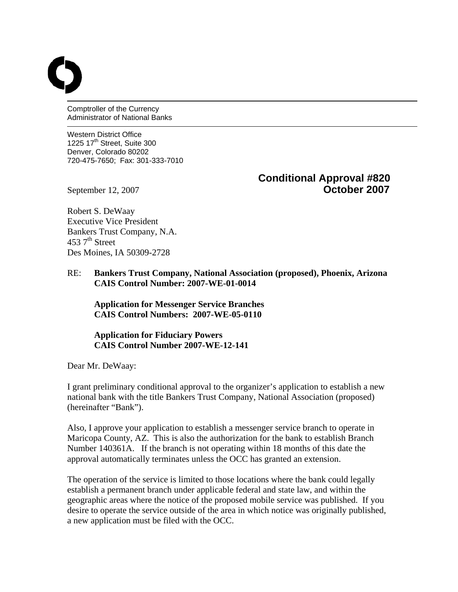Comptroller of the Currency Administrator of National Banks

Western District Office 1225  $17<sup>th</sup>$  Street, Suite 300 Denver, Colorado 80202 720-475-7650; Fax: 301-333-7010

# **Conditional Approval #820**  September 12, 2007 **October 2007**

Robert S. DeWaay Executive Vice President Bankers Trust Company, N.A. 453  $7<sup>th</sup>$  Street Des Moines, IA 50309-2728

## RE: **Bankers Trust Company, National Association (proposed), Phoenix, Arizona CAIS Control Number: 2007-WE-01-0014**

 **Application for Messenger Service Branches CAIS Control Numbers: 2007-WE-05-0110** 

## **Application for Fiduciary Powers CAIS Control Number 2007-WE-12-141**

Dear Mr. DeWaay:

I grant preliminary conditional approval to the organizer's application to establish a new national bank with the title Bankers Trust Company, National Association (proposed) (hereinafter "Bank").

Also, I approve your application to establish a messenger service branch to operate in Maricopa County, AZ. This is also the authorization for the bank to establish Branch Number 140361A. If the branch is not operating within 18 months of this date the approval automatically terminates unless the OCC has granted an extension.

The operation of the service is limited to those locations where the bank could legally establish a permanent branch under applicable federal and state law, and within the geographic areas where the notice of the proposed mobile service was published. If you desire to operate the service outside of the area in which notice was originally published, a new application must be filed with the OCC.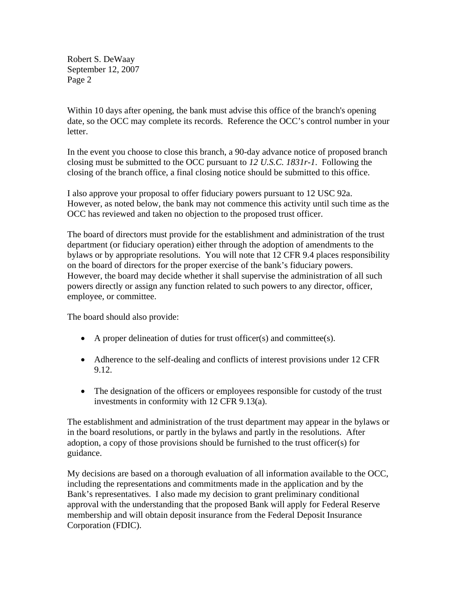Within 10 days after opening, the bank must advise this office of the branch's opening date, so the OCC may complete its records. Reference the OCC's control number in your letter.

In the event you choose to close this branch, a 90-day advance notice of proposed branch closing must be submitted to the OCC pursuant to *12 U.S.C. 1831r-1*. Following the closing of the branch office, a final closing notice should be submitted to this office.

I also approve your proposal to offer fiduciary powers pursuant to 12 USC 92a. However, as noted below, the bank may not commence this activity until such time as the OCC has reviewed and taken no objection to the proposed trust officer.

The board of directors must provide for the establishment and administration of the trust department (or fiduciary operation) either through the adoption of amendments to the bylaws or by appropriate resolutions. You will note that 12 CFR 9.4 places responsibility on the board of directors for the proper exercise of the bank's fiduciary powers. However, the board may decide whether it shall supervise the administration of all such powers directly or assign any function related to such powers to any director, officer, employee, or committee.

The board should also provide:

- A proper delineation of duties for trust officer(s) and committee(s).
- Adherence to the self-dealing and conflicts of interest provisions under 12 CFR 9.12.
- The designation of the officers or employees responsible for custody of the trust investments in conformity with 12 CFR 9.13(a).

The establishment and administration of the trust department may appear in the bylaws or in the board resolutions, or partly in the bylaws and partly in the resolutions. After adoption, a copy of those provisions should be furnished to the trust officer(s) for guidance.

My decisions are based on a thorough evaluation of all information available to the OCC, including the representations and commitments made in the application and by the Bank's representatives. I also made my decision to grant preliminary conditional approval with the understanding that the proposed Bank will apply for Federal Reserve membership and will obtain deposit insurance from the Federal Deposit Insurance Corporation (FDIC).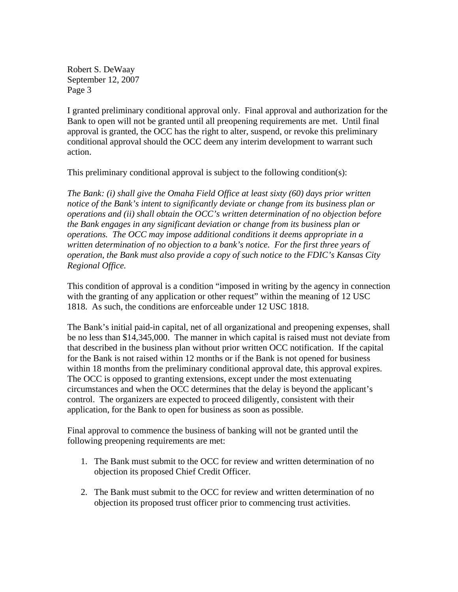I granted preliminary conditional approval only. Final approval and authorization for the Bank to open will not be granted until all preopening requirements are met. Until final approval is granted, the OCC has the right to alter, suspend, or revoke this preliminary conditional approval should the OCC deem any interim development to warrant such action.

This preliminary conditional approval is subject to the following condition(s):

*The Bank: (i) shall give the Omaha Field Office at least sixty (60) days prior written notice of the Bank's intent to significantly deviate or change from its business plan or operations and (ii) shall obtain the OCC's written determination of no objection before the Bank engages in any significant deviation or change from its business plan or operations. The OCC may impose additional conditions it deems appropriate in a written determination of no objection to a bank's notice. For the first three years of operation, the Bank must also provide a copy of such notice to the FDIC's Kansas City Regional Office.* 

This condition of approval is a condition "imposed in writing by the agency in connection with the granting of any application or other request" within the meaning of 12 USC 1818. As such, the conditions are enforceable under 12 USC 1818.

The Bank's initial paid-in capital, net of all organizational and preopening expenses, shall be no less than \$14,345,000. The manner in which capital is raised must not deviate from that described in the business plan without prior written OCC notification. If the capital for the Bank is not raised within 12 months or if the Bank is not opened for business within 18 months from the preliminary conditional approval date, this approval expires. The OCC is opposed to granting extensions, except under the most extenuating circumstances and when the OCC determines that the delay is beyond the applicant's control. The organizers are expected to proceed diligently, consistent with their application, for the Bank to open for business as soon as possible.

Final approval to commence the business of banking will not be granted until the following preopening requirements are met:

- 1. The Bank must submit to the OCC for review and written determination of no objection its proposed Chief Credit Officer.
- 2. The Bank must submit to the OCC for review and written determination of no objection its proposed trust officer prior to commencing trust activities.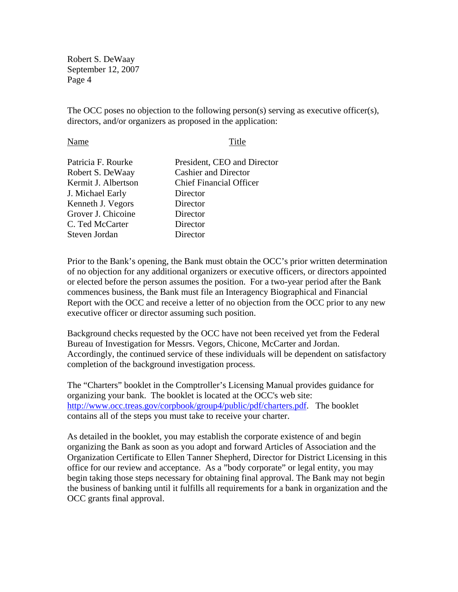The OCC poses no objection to the following person(s) serving as executive officer(s), directors, and/or organizers as proposed in the application:

#### Name Title

| President, CEO and Director    |
|--------------------------------|
| <b>Cashier and Director</b>    |
| <b>Chief Financial Officer</b> |
| Director                       |
| Director                       |
| Director                       |
| Director                       |
| Director                       |
|                                |

Prior to the Bank's opening, the Bank must obtain the OCC's prior written determination of no objection for any additional organizers or executive officers, or directors appointed or elected before the person assumes the position. For a two-year period after the Bank commences business, the Bank must file an Interagency Biographical and Financial Report with the OCC and receive a letter of no objection from the OCC prior to any new executive officer or director assuming such position.

Background checks requested by the OCC have not been received yet from the Federal Bureau of Investigation for Messrs. Vegors, Chicone, McCarter and Jordan. Accordingly, the continued service of these individuals will be dependent on satisfactory completion of the background investigation process.

The "Charters" booklet in the Comptroller's Licensing Manual provides guidance for organizing your bank. The booklet is located at the OCC's web site: [http://www.occ.treas.gov/corpbook/group4/public/pdf/charters.pdf.](http://www.occ.treas.gov/corpbook/group4/public/pdf/charters.pdf) The booklet contains all of the steps you must take to receive your charter.

As detailed in the booklet, you may establish the corporate existence of and begin organizing the Bank as soon as you adopt and forward Articles of Association and the Organization Certificate to Ellen Tanner Shepherd, Director for District Licensing in this office for our review and acceptance. As a "body corporate" or legal entity, you may begin taking those steps necessary for obtaining final approval. The Bank may not begin the business of banking until it fulfills all requirements for a bank in organization and the OCC grants final approval.